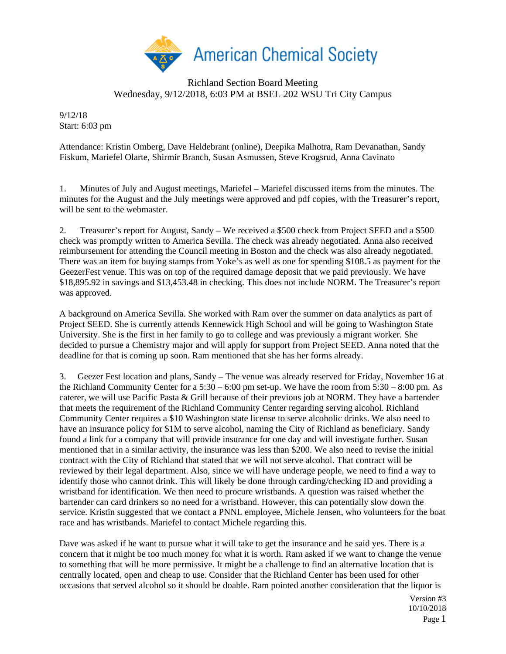

## Richland Section Board Meeting Wednesday, 9/12/2018, 6:03 PM at BSEL 202 WSU Tri City Campus

9/12/18 Start: 6:03 pm

Attendance: Kristin Omberg, Dave Heldebrant (online), Deepika Malhotra, Ram Devanathan, Sandy Fiskum, Mariefel Olarte, Shirmir Branch, Susan Asmussen, Steve Krogsrud, Anna Cavinato

1. Minutes of July and August meetings, Mariefel – Mariefel discussed items from the minutes. The minutes for the August and the July meetings were approved and pdf copies, with the Treasurer's report, will be sent to the webmaster.

2. Treasurer's report for August, Sandy – We received a \$500 check from Project SEED and a \$500 check was promptly written to America Sevilla. The check was already negotiated. Anna also received reimbursement for attending the Council meeting in Boston and the check was also already negotiated. There was an item for buying stamps from Yoke's as well as one for spending \$108.5 as payment for the GeezerFest venue. This was on top of the required damage deposit that we paid previously. We have \$18,895.92 in savings and \$13,453.48 in checking. This does not include NORM. The Treasurer's report was approved.

A background on America Sevilla. She worked with Ram over the summer on data analytics as part of Project SEED. She is currently attends Kennewick High School and will be going to Washington State University. She is the first in her family to go to college and was previously a migrant worker. She decided to pursue a Chemistry major and will apply for support from Project SEED. Anna noted that the deadline for that is coming up soon. Ram mentioned that she has her forms already.

3. Geezer Fest location and plans, Sandy – The venue was already reserved for Friday, November 16 at the Richland Community Center for a 5:30 – 6:00 pm set-up. We have the room from 5:30 – 8:00 pm. As caterer, we will use Pacific Pasta & Grill because of their previous job at NORM. They have a bartender that meets the requirement of the Richland Community Center regarding serving alcohol. Richland Community Center requires a \$10 Washington state license to serve alcoholic drinks. We also need to have an insurance policy for \$1M to serve alcohol, naming the City of Richland as beneficiary. Sandy found a link for a company that will provide insurance for one day and will investigate further. Susan mentioned that in a similar activity, the insurance was less than \$200. We also need to revise the initial contract with the City of Richland that stated that we will not serve alcohol. That contract will be reviewed by their legal department. Also, since we will have underage people, we need to find a way to identify those who cannot drink. This will likely be done through carding/checking ID and providing a wristband for identification. We then need to procure wristbands. A question was raised whether the bartender can card drinkers so no need for a wristband. However, this can potentially slow down the service. Kristin suggested that we contact a PNNL employee, Michele Jensen, who volunteers for the boat race and has wristbands. Mariefel to contact Michele regarding this.

Dave was asked if he want to pursue what it will take to get the insurance and he said yes. There is a concern that it might be too much money for what it is worth. Ram asked if we want to change the venue to something that will be more permissive. It might be a challenge to find an alternative location that is centrally located, open and cheap to use. Consider that the Richland Center has been used for other occasions that served alcohol so it should be doable. Ram pointed another consideration that the liquor is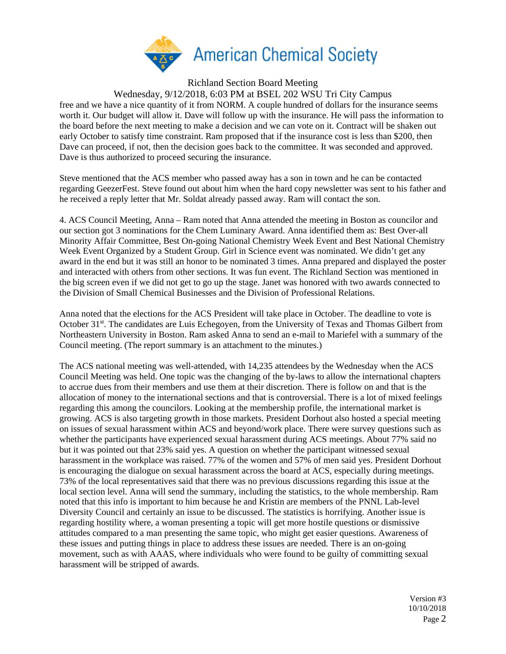

Richland Section Board Meeting

Wednesday, 9/12/2018, 6:03 PM at BSEL 202 WSU Tri City Campus

free and we have a nice quantity of it from NORM. A couple hundred of dollars for the insurance seems worth it. Our budget will allow it. Dave will follow up with the insurance. He will pass the information to the board before the next meeting to make a decision and we can vote on it. Contract will be shaken out early October to satisfy time constraint. Ram proposed that if the insurance cost is less than \$200, then Dave can proceed, if not, then the decision goes back to the committee. It was seconded and approved. Dave is thus authorized to proceed securing the insurance.

Steve mentioned that the ACS member who passed away has a son in town and he can be contacted regarding GeezerFest. Steve found out about him when the hard copy newsletter was sent to his father and he received a reply letter that Mr. Soldat already passed away. Ram will contact the son.

4. ACS Council Meeting, Anna – Ram noted that Anna attended the meeting in Boston as councilor and our section got 3 nominations for the Chem Luminary Award. Anna identified them as: Best Over-all Minority Affair Committee, Best On-going National Chemistry Week Event and Best National Chemistry Week Event Organized by a Student Group. Girl in Science event was nominated. We didn't get any award in the end but it was still an honor to be nominated 3 times. Anna prepared and displayed the poster and interacted with others from other sections. It was fun event. The Richland Section was mentioned in the big screen even if we did not get to go up the stage. Janet was honored with two awards connected to the Division of Small Chemical Businesses and the Division of Professional Relations.

Anna noted that the elections for the ACS President will take place in October. The deadline to vote is October 31<sup>st</sup>. The candidates are Luis Echegoyen, from the University of Texas and Thomas Gilbert from Northeastern University in Boston. Ram asked Anna to send an e-mail to Mariefel with a summary of the Council meeting. (The report summary is an attachment to the minutes.)

The ACS national meeting was well-attended, with 14,235 attendees by the Wednesday when the ACS Council Meeting was held. One topic was the changing of the by-laws to allow the international chapters to accrue dues from their members and use them at their discretion. There is follow on and that is the allocation of money to the international sections and that is controversial. There is a lot of mixed feelings regarding this among the councilors. Looking at the membership profile, the international market is growing. ACS is also targeting growth in those markets. President Dorhout also hosted a special meeting on issues of sexual harassment within ACS and beyond/work place. There were survey questions such as whether the participants have experienced sexual harassment during ACS meetings. About 77% said no but it was pointed out that 23% said yes. A question on whether the participant witnessed sexual harassment in the workplace was raised. 77% of the women and 57% of men said yes. President Dorhout is encouraging the dialogue on sexual harassment across the board at ACS, especially during meetings. 73% of the local representatives said that there was no previous discussions regarding this issue at the local section level. Anna will send the summary, including the statistics, to the whole membership. Ram noted that this info is important to him because he and Kristin are members of the PNNL Lab-level Diversity Council and certainly an issue to be discussed. The statistics is horrifying. Another issue is regarding hostility where, a woman presenting a topic will get more hostile questions or dismissive attitudes compared to a man presenting the same topic, who might get easier questions. Awareness of these issues and putting things in place to address these issues are needed. There is an on-going movement, such as with AAAS, where individuals who were found to be guilty of committing sexual harassment will be stripped of awards.

> Version #3 10/10/2018 Page 2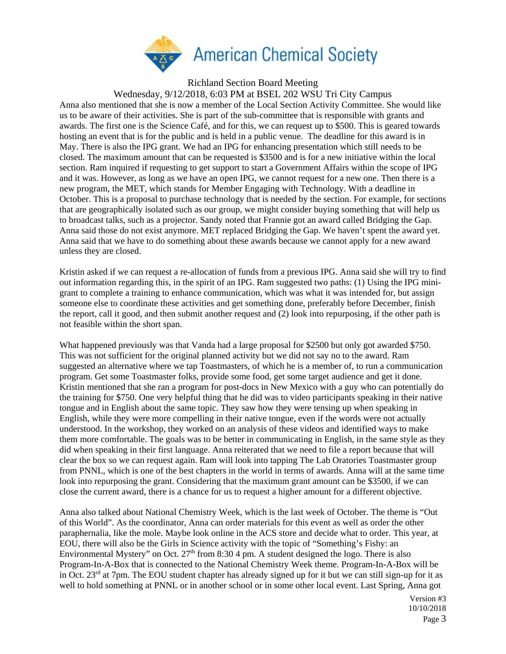

Richland Section Board Meeting

Wednesday, 9/12/2018, 6:03 PM at BSEL 202 WSU Tri City Campus

Anna also mentioned that she is now a member of the Local Section Activity Committee. She would like us to be aware of their activities. She is part of the sub-committee that is responsible with grants and awards. The first one is the Science Café, and for this, we can request up to \$500. This is geared towards hosting an event that is for the public and is held in a public venue. The deadline for this award is in May. There is also the IPG grant. We had an IPG for enhancing presentation which still needs to be closed. The maximum amount that can be requested is \$3500 and is for a new initiative within the local section. Ram inquired if requesting to get support to start a Government Affairs within the scope of IPG and it was. However, as long as we have an open IPG, we cannot request for a new one. Then there is a new program, the MET, which stands for Member Engaging with Technology. With a deadline in October. This is a proposal to purchase technology that is needed by the section. For example, for sections that are geographically isolated such as our group, we might consider buying something that will help us to broadcast talks, such as a projector. Sandy noted that Frannie got an award called Bridging the Gap. Anna said those do not exist anymore. MET replaced Bridging the Gap. We haven't spent the award yet. Anna said that we have to do something about these awards because we cannot apply for a new award unless they are closed.

Kristin asked if we can request a re-allocation of funds from a previous IPG. Anna said she will try to find out information regarding this, in the spirit of an IPG. Ram suggested two paths: (1) Using the IPG minigrant to complete a training to enhance communication, which was what it was intended for, but assign someone else to coordinate these activities and get something done, preferably before December, finish the report, call it good, and then submit another request and (2) look into repurposing, if the other path is not feasible within the short span.

What happened previously was that Vanda had a large proposal for \$2500 but only got awarded \$750. This was not sufficient for the original planned activity but we did not say no to the award. Ram suggested an alternative where we tap Toastmasters, of which he is a member of, to run a communication program. Get some Toastmaster folks, provide some food, get some target audience and get it done. Kristin mentioned that she ran a program for post-docs in New Mexico with a guy who can potentially do the training for \$750. One very helpful thing that he did was to video participants speaking in their native tongue and in English about the same topic. They saw how they were tensing up when speaking in English, while they were more compelling in their native tongue, even if the words were not actually understood. In the workshop, they worked on an analysis of these videos and identified ways to make them more comfortable. The goals was to be better in communicating in English, in the same style as they did when speaking in their first language. Anna reiterated that we need to file a report because that will clear the box so we can request again. Ram will look into tapping The Lab Oratories Toastmaster group from PNNL, which is one of the best chapters in the world in terms of awards. Anna will at the same time look into repurposing the grant. Considering that the maximum grant amount can be \$3500, if we can close the current award, there is a chance for us to request a higher amount for a different objective.

Anna also talked about National Chemistry Week, which is the last week of October. The theme is "Out of this World". As the coordinator, Anna can order materials for this event as well as order the other paraphernalia, like the mole. Maybe look online in the ACS store and decide what to order. This year, at EOU, there will also be the Girls in Science activity with the topic of "Something's Fishy: an Environmental Mystery" on Oct.  $27<sup>th</sup>$  from 8:30 4 pm. A student designed the logo. There is also Program-In-A-Box that is connected to the National Chemistry Week theme. Program-In-A-Box will be in Oct. 23<sup>rd</sup> at 7pm. The EOU student chapter has already signed up for it but we can still sign-up for it as well to hold something at PNNL or in another school or in some other local event. Last Spring, Anna got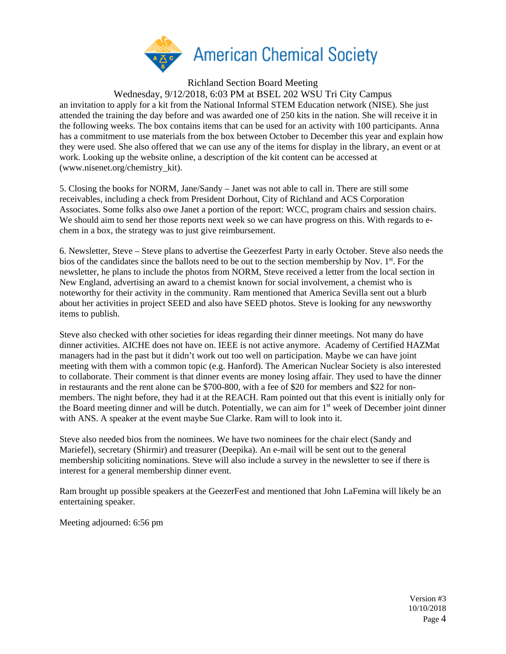

Richland Section Board Meeting

Wednesday, 9/12/2018, 6:03 PM at BSEL 202 WSU Tri City Campus

an invitation to apply for a kit from the National Informal STEM Education network (NISE). She just attended the training the day before and was awarded one of 250 kits in the nation. She will receive it in the following weeks. The box contains items that can be used for an activity with 100 participants. Anna has a commitment to use materials from the box between October to December this year and explain how they were used. She also offered that we can use any of the items for display in the library, an event or at work. Looking up the website online, a description of the kit content can be accessed at (www.nisenet.org/chemistry\_kit).

5. Closing the books for NORM, Jane/Sandy – Janet was not able to call in. There are still some receivables, including a check from President Dorhout, City of Richland and ACS Corporation Associates. Some folks also owe Janet a portion of the report: WCC, program chairs and session chairs. We should aim to send her those reports next week so we can have progress on this. With regards to echem in a box, the strategy was to just give reimbursement.

6. Newsletter, Steve – Steve plans to advertise the Geezerfest Party in early October. Steve also needs the bios of the candidates since the ballots need to be out to the section membership by Nov.  $1<sup>st</sup>$ . For the newsletter, he plans to include the photos from NORM, Steve received a letter from the local section in New England, advertising an award to a chemist known for social involvement, a chemist who is noteworthy for their activity in the community. Ram mentioned that America Sevilla sent out a blurb about her activities in project SEED and also have SEED photos. Steve is looking for any newsworthy items to publish.

Steve also checked with other societies for ideas regarding their dinner meetings. Not many do have dinner activities. AICHE does not have on. IEEE is not active anymore. Academy of Certified HAZMat managers had in the past but it didn't work out too well on participation. Maybe we can have joint meeting with them with a common topic (e.g. Hanford). The American Nuclear Society is also interested to collaborate. Their comment is that dinner events are money losing affair. They used to have the dinner in restaurants and the rent alone can be \$700-800, with a fee of \$20 for members and \$22 for nonmembers. The night before, they had it at the REACH. Ram pointed out that this event is initially only for the Board meeting dinner and will be dutch. Potentially, we can aim for  $1<sup>st</sup>$  week of December joint dinner with ANS. A speaker at the event maybe Sue Clarke. Ram will to look into it.

Steve also needed bios from the nominees. We have two nominees for the chair elect (Sandy and Mariefel), secretary (Shirmir) and treasurer (Deepika). An e-mail will be sent out to the general membership soliciting nominations. Steve will also include a survey in the newsletter to see if there is interest for a general membership dinner event.

Ram brought up possible speakers at the GeezerFest and mentioned that John LaFemina will likely be an entertaining speaker.

Meeting adjourned: 6:56 pm